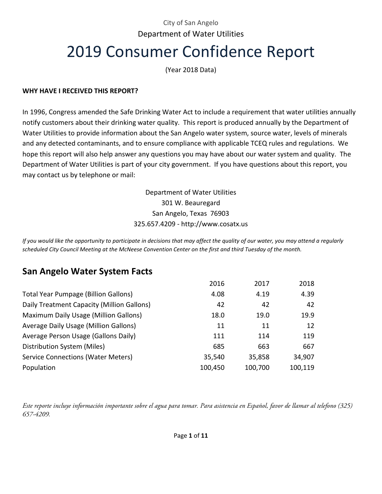# City of San Angelo Department of Water Utilities 2019 Consumer Confidence Report

(Year 2018 Data)

#### **WHY HAVE I RECEIVED THIS REPORT?**

In 1996, Congress amended the Safe Drinking Water Act to include a requirement that water utilities annually notify customers about their drinking water quality. This report is produced annually by the Department of Water Utilities to provide information about the San Angelo water system, source water, levels of minerals and any detected contaminants, and to ensure compliance with applicable TCEQ rules and regulations. We hope this report will also help answer any questions you may have about our water system and quality. The Department of Water Utilities is part of your city government. If you have questions about this report, you may contact us by telephone or mail:

> Department of Water Utilities 301 W. Beauregard San Angelo, Texas 76903 325.657.4209 - http://www.cosatx.us

*If you would like the opportunity to participate in decisions that may affect the quality of our water, you may attend a regularly scheduled City Council Meeting at the McNeese Convention Center on the first and third Tuesday of the month.* 

## **San Angelo Water System Facts**

|                                             | 2016    | 2017    | 2018    |
|---------------------------------------------|---------|---------|---------|
| <b>Total Year Pumpage (Billion Gallons)</b> | 4.08    | 4.19    | 4.39    |
| Daily Treatment Capacity (Million Gallons)  | 42      | 42      | 42      |
| Maximum Daily Usage (Million Gallons)       | 18.0    | 19.0    | 19.9    |
| Average Daily Usage (Million Gallons)       | 11      | 11      | 12      |
| Average Person Usage (Gallons Daily)        | 111     | 114     | 119     |
| Distribution System (Miles)                 | 685     | 663     | 667     |
| <b>Service Connections (Water Meters)</b>   | 35,540  | 35,858  | 34,907  |
| Population                                  | 100,450 | 100,700 | 100,119 |

*Este reporte incluye información importante sobre el agua para tomar. Para asistencia en Español, favor de llamar al telefono (325) 657-4209.*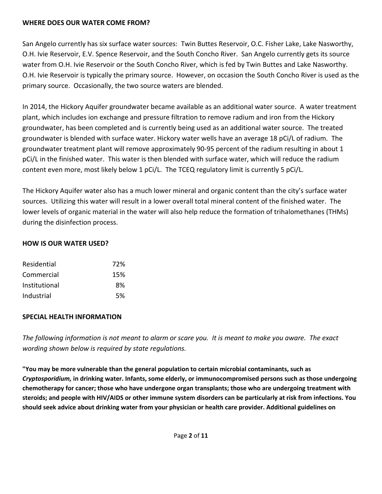### **WHERE DOES OUR WATER COME FROM?**

San Angelo currently has six surface water sources: Twin Buttes Reservoir, O.C. Fisher Lake, Lake Nasworthy, O.H. Ivie Reservoir, E.V. Spence Reservoir, and the South Concho River. San Angelo currently gets its source water from O.H. Ivie Reservoir or the South Concho River, which is fed by Twin Buttes and Lake Nasworthy. O.H. Ivie Reservoir is typically the primary source. However, on occasion the South Concho River is used as the primary source. Occasionally, the two source waters are blended.

In 2014, the Hickory Aquifer groundwater became available as an additional water source. A water treatment plant, which includes ion exchange and pressure filtration to remove radium and iron from the Hickory groundwater, has been completed and is currently being used as an additional water source. The treated groundwater is blended with surface water. Hickory water wells have an average 18 pCi/L of radium. The groundwater treatment plant will remove approximately 90-95 percent of the radium resulting in about 1 pCi/L in the finished water. This water is then blended with surface water, which will reduce the radium content even more, most likely below 1 pCi/L. The TCEQ regulatory limit is currently 5 pCi/L.

The Hickory Aquifer water also has a much lower mineral and organic content than the city's surface water sources. Utilizing this water will result in a lower overall total mineral content of the finished water. The lower levels of organic material in the water will also help reduce the formation of trihalomethanes (THMs) during the disinfection process.

## **HOW IS OUR WATER USED?**

| 72% |
|-----|
| 15% |
| 8%  |
| .5% |
|     |

## **SPECIAL HEALTH INFORMATION**

*The following information is not meant to alarm or scare you. It is meant to make you aware. The exact wording shown below is required by state regulations.*

**"You may be more vulnerable than the general population to certain microbial contaminants, such as**  *Cryptosporidium,* **in drinking water. Infants, some elderly, or immunocompromised persons such as those undergoing chemotherapy for cancer; those who have undergone organ transplants; those who are undergoing treatment with steroids; and people with HIV/AIDS or other immune system disorders can be particularly at risk from infections. You should seek advice about drinking water from your physician or health care provider. Additional guidelines on**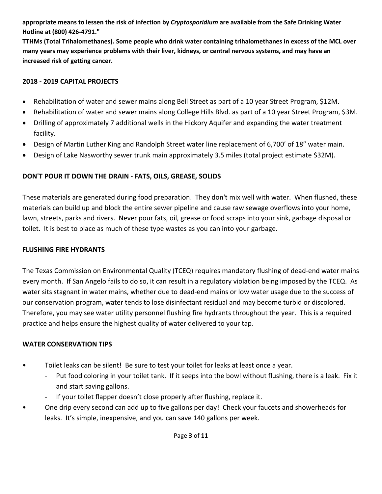**appropriate means to lessen the risk of infection by** *Cryptosporidium* **are available from the Safe Drinking Water Hotline at (800) 426-4791."**

**TTHMs (Total Trihalomethanes). Some people who drink water containing trihalomethanes in excess of the MCL over many years may experience problems with their liver, kidneys, or central nervous systems, and may have an increased risk of getting cancer.**

#### **2018 - 2019 CAPITAL PROJECTS**

- Rehabilitation of water and sewer mains along Bell Street as part of a 10 year Street Program, \$12M.
- Rehabilitation of water and sewer mains along College Hills Blvd. as part of a 10 year Street Program, \$3M.
- Drilling of approximately 7 additional wells in the Hickory Aquifer and expanding the water treatment facility.
- Design of Martin Luther King and Randolph Street water line replacement of 6,700' of 18" water main.
- Design of Lake Nasworthy sewer trunk main approximately 3.5 miles (total project estimate \$32M).

## **DON'T POUR IT DOWN THE DRAIN - FATS, OILS, GREASE, SOLIDS**

These materials are generated during food preparation. They don't mix well with water. When flushed, these materials can build up and block the entire sewer pipeline and cause raw sewage overflows into your home, lawn, streets, parks and rivers. Never pour fats, oil, grease or food scraps into your sink, garbage disposal or toilet. It is best to place as much of these type wastes as you can into your garbage.

## **FLUSHING FIRE HYDRANTS**

The Texas Commission on Environmental Quality (TCEQ) requires mandatory flushing of dead-end water mains every month. If San Angelo fails to do so, it can result in a regulatory violation being imposed by the TCEQ. As water sits stagnant in water mains, whether due to dead-end mains or low water usage due to the success of our conservation program, water tends to lose disinfectant residual and may become turbid or discolored. Therefore, you may see water utility personnel flushing fire hydrants throughout the year. This is a required practice and helps ensure the highest quality of water delivered to your tap.

## **WATER CONSERVATION TIPS**

- Toilet leaks can be silent! Be sure to test your toilet for leaks at least once a year.
	- Put food coloring in your toilet tank. If it seeps into the bowl without flushing, there is a leak. Fix it and start saving gallons.
	- If your toilet flapper doesn't close properly after flushing, replace it.
- One drip every second can add up to five gallons per day! Check your faucets and showerheads for leaks. It's simple, inexpensive, and you can save 140 gallons per week.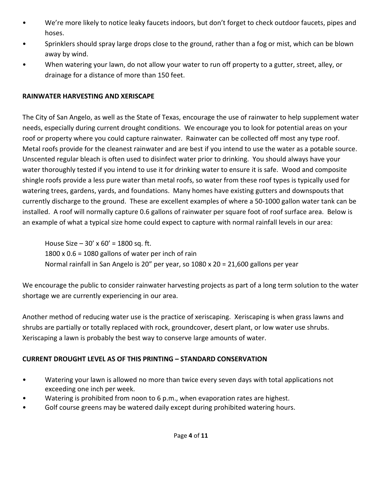- We're more likely to notice leaky faucets indoors, but don't forget to check outdoor faucets, pipes and hoses.
- Sprinklers should spray large drops close to the ground, rather than a fog or mist, which can be blown away by wind.
- When watering your lawn, do not allow your water to run off property to a gutter, street, alley, or drainage for a distance of more than 150 feet.

## **RAINWATER HARVESTING AND XERISCAPE**

The City of San Angelo, as well as the State of Texas, encourage the use of rainwater to help supplement water needs, especially during current drought conditions. We encourage you to look for potential areas on your roof or property where you could capture rainwater. Rainwater can be collected off most any type roof. Metal roofs provide for the cleanest rainwater and are best if you intend to use the water as a potable source. Unscented regular bleach is often used to disinfect water prior to drinking. You should always have your water thoroughly tested if you intend to use it for drinking water to ensure it is safe. Wood and composite shingle roofs provide a less pure water than metal roofs, so water from these roof types is typically used for watering trees, gardens, yards, and foundations. Many homes have existing gutters and downspouts that currently discharge to the ground. These are excellent examples of where a 50-1000 gallon water tank can be installed. A roof will normally capture 0.6 gallons of rainwater per square foot of roof surface area. Below is an example of what a typical size home could expect to capture with normal rainfall levels in our area:

House Size –  $30'$  x  $60'$  = 1800 sq. ft. 1800 x 0.6 = 1080 gallons of water per inch of rain Normal rainfall in San Angelo is 20" per year, so 1080 x 20 = 21,600 gallons per year

We encourage the public to consider rainwater harvesting projects as part of a long term solution to the water shortage we are currently experiencing in our area.

Another method of reducing water use is the practice of xeriscaping. Xeriscaping is when grass lawns and shrubs are partially or totally replaced with rock, groundcover, desert plant, or low water use shrubs. Xeriscaping a lawn is probably the best way to conserve large amounts of water.

## **CURRENT DROUGHT LEVEL AS OF THIS PRINTING – STANDARD CONSERVATION**

- Watering your lawn is allowed no more than twice every seven days with total applications not exceeding one inch per week.
- Watering is prohibited from noon to 6 p.m., when evaporation rates are highest.
- Golf course greens may be watered daily except during prohibited watering hours.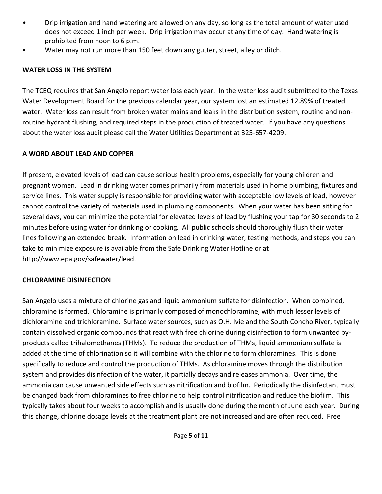- Drip irrigation and hand watering are allowed on any day, so long as the total amount of water used does not exceed 1 inch per week. Drip irrigation may occur at any time of day. Hand watering is prohibited from noon to 6 p.m.
- Water may not run more than 150 feet down any gutter, street, alley or ditch.

## **WATER LOSS IN THE SYSTEM**

The TCEQ requires that San Angelo report water loss each year. In the water loss audit submitted to the Texas Water Development Board for the previous calendar year, our system lost an estimated 12.89% of treated water. Water loss can result from broken water mains and leaks in the distribution system, routine and nonroutine hydrant flushing, and required steps in the production of treated water. If you have any questions about the water loss audit please call the Water Utilities Department at 325-657-4209.

### **A WORD ABOUT LEAD AND COPPER**

If present, elevated levels of lead can cause serious health problems, especially for young children and pregnant women. Lead in drinking water comes primarily from materials used in home plumbing, fixtures and service lines. This water supply is responsible for providing water with acceptable low levels of lead, however cannot control the variety of materials used in plumbing components. When your water has been sitting for several days, you can minimize the potential for elevated levels of lead by flushing your tap for 30 seconds to 2 minutes before using water for drinking or cooking. All public schools should thoroughly flush their water lines following an extended break. Information on lead in drinking water, testing methods, and steps you can take to minimize exposure is available from the Safe Drinking Water Hotline or at http://www.epa.gov/safewater/lead.

#### **CHLORAMINE DISINFECTION**

San Angelo uses a mixture of chlorine gas and liquid ammonium sulfate for disinfection. When combined, chloramine is formed. Chloramine is primarily composed of monochloramine, with much lesser levels of dichloramine and trichloramine. Surface water sources, such as O.H. Ivie and the South Concho River, typically contain dissolved organic compounds that react with free chlorine during disinfection to form unwanted byproducts called trihalomethanes (THMs). To reduce the production of THMs, liquid ammonium sulfate is added at the time of chlorination so it will combine with the chlorine to form chloramines. This is done specifically to reduce and control the production of THMs. As chloramine moves through the distribution system and provides disinfection of the water, it partially decays and releases ammonia. Over time, the ammonia can cause unwanted side effects such as nitrification and biofilm. Periodically the disinfectant must be changed back from chloramines to free chlorine to help control nitrification and reduce the biofilm. This typically takes about four weeks to accomplish and is usually done during the month of June each year. During this change, chlorine dosage levels at the treatment plant are not increased and are often reduced. Free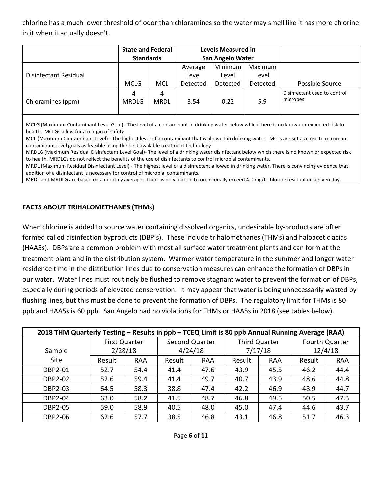chlorine has a much lower threshold of odor than chloramines so the water may smell like it has more chlorine in it when it actually doesn't.

|                       | <b>State and Federal</b><br><b>Standards</b> |                  |                  | Levels Measured in<br><b>San Angelo Water</b> |                  |                                          |
|-----------------------|----------------------------------------------|------------------|------------------|-----------------------------------------------|------------------|------------------------------------------|
| Disinfectant Residual |                                              | <b>MCL</b>       | Average<br>Level | Minimum<br>Level                              | Maximum<br>Level |                                          |
|                       | <b>MCLG</b>                                  |                  | Detected         | Detected                                      | Detected         | Possible Source                          |
| Chloramines (ppm)     | 4<br><b>MRDLG</b>                            | 4<br><b>MRDL</b> | 3.54             | 0.22                                          | 5.9              | Disinfectant used to control<br>microbes |

MCLG (Maximum Contaminant Level Goal) - The level of a contaminant in drinking water below which there is no known or expected risk to health. MCLGs allow for a margin of safety.

MCL (Maximum Contaminant Level) - The highest level of a contaminant that is allowed in drinking water. MCLs are set as close to maximum contaminant level goals as feasible using the best available treatment technology.

MRDLG (Maximum Residual Disinfectant Level Goal)- The level of a drinking water disinfectant below which there is no known or expected risk to health. MRDLGs do not reflect the benefits of the use of disinfectants to control microbial contaminants.

MRDL (Maximum Residual Disinfectant Level) - The highest level of a disinfectant allowed in drinking water. There is convincing evidence that addition of a disinfectant is necessary for control of microbial contaminants.

MRDL and MRDLG are based on a monthly average. There is no violation to occasionally exceed 4.0 mg/L chlorine residual on a given day.

#### **FACTS ABOUT TRIHALOMETHANES (THMs)**

When chlorine is added to source water containing dissolved organics, undesirable by-products are often formed called disinfection byproducts (DBP's). These include trihalomethanes (THMs) and haloacetic acids (HAA5s). DBPs are a common problem with most all surface water treatment plants and can form at the treatment plant and in the distribution system. Warmer water temperature in the summer and longer water residence time in the distribution lines due to conservation measures can enhance the formation of DBPs in our water. Water lines must routinely be flushed to remove stagnant water to prevent the formation of DBPs, especially during periods of elevated conservation. It may appear that water is being unnecessarily wasted by flushing lines, but this must be done to prevent the formation of DBPs. The regulatory limit for THMs is 80 ppb and HAA5s is 60 ppb. San Angelo had no violations for THMs or HAA5s in 2018 (see tables below).

| 2018 THM Quarterly Testing - Results in ppb - TCEQ Limit is 80 ppb Annual Running Average (RAA) |                      |         |        |                |        |                      |                |            |  |  |  |
|-------------------------------------------------------------------------------------------------|----------------------|---------|--------|----------------|--------|----------------------|----------------|------------|--|--|--|
|                                                                                                 | <b>First Quarter</b> |         |        | Second Quarter |        | <b>Third Quarter</b> | Fourth Quarter |            |  |  |  |
| Sample                                                                                          |                      | 2/28/18 |        | 4/24/18        |        | 7/17/18              | 12/4/18        |            |  |  |  |
| <b>Site</b>                                                                                     | Result               | RAA     | Result | <b>RAA</b>     | Result | <b>RAA</b>           | Result         | <b>RAA</b> |  |  |  |
| DBP2-01                                                                                         | 52.7                 | 54.4    | 41.4   | 47.6           | 43.9   | 45.5                 | 46.2           | 44.4       |  |  |  |
| <b>DBP2-02</b>                                                                                  | 52.6                 | 59.4    | 41.4   | 49.7           | 40.7   | 43.9                 | 48.6           | 44.8       |  |  |  |
| <b>DBP2-03</b>                                                                                  | 64.5                 | 58.3    | 38.8   | 47.4           | 42.2   | 46.9                 | 48.9           | 44.7       |  |  |  |
| <b>DBP2-04</b>                                                                                  | 63.0                 | 58.2    | 41.5   | 48.7           | 46.8   | 49.5                 | 50.5           | 47.3       |  |  |  |
| <b>DBP2-05</b>                                                                                  | 59.0                 | 58.9    | 40.5   | 48.0           | 45.0   | 47.4                 | 44.6           | 43.7       |  |  |  |
| <b>DBP2-06</b>                                                                                  | 62.6                 | 57.7    | 38.5   | 46.8           | 43.1   | 46.8                 | 51.7           | 46.3       |  |  |  |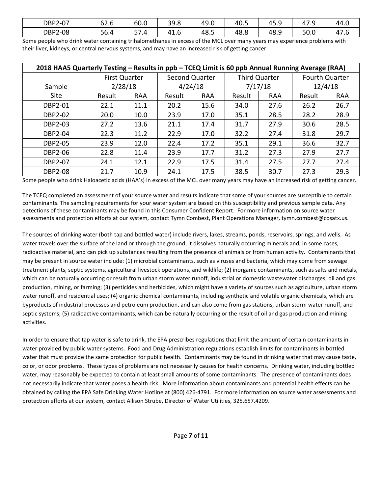| $2 - 07$<br>DBP2 | $\sim$<br>h<br>02.O | 60.0                     | 39.8 | 49.0 | 40.5 | 45.≿ | $1 - C$<br>47.5 | 44.0                   |
|------------------|---------------------|--------------------------|------|------|------|------|-----------------|------------------------|
| $2 - 08$<br>DBP2 | 56.4                | --<br>$\Delta$<br>۳.۰. ر | 41.6 | 48.⇒ | 48.8 | 48.9 | 50.0            | $\overline{a}$<br>ں. ہ |

Some people who drink water containing trihalomethanes in excess of the MCL over many years may experience problems with their liver, kidneys, or central nervous systems, and may have an increased risk of getting cancer

| 2018 HAA5 Quarterly Testing - Results in ppb - TCEQ Limit is 60 ppb Annual Running Average (RAA) |        |               |                |            |               |            |                |            |  |  |  |
|--------------------------------------------------------------------------------------------------|--------|---------------|----------------|------------|---------------|------------|----------------|------------|--|--|--|
|                                                                                                  |        | First Quarter | Second Quarter |            | Third Quarter |            | Fourth Quarter |            |  |  |  |
| Sample                                                                                           |        | 2/28/18       | 4/24/18        |            | 7/17/18       |            | 12/4/18        |            |  |  |  |
| Site                                                                                             | Result | <b>RAA</b>    | Result         | <b>RAA</b> | Result        | <b>RAA</b> | Result         | <b>RAA</b> |  |  |  |
| DBP2-01                                                                                          | 22.1   | 11.1          | 20.2           | 15.6       | 34.0          | 27.6       | 26.2           | 26.7       |  |  |  |
| <b>DBP2-02</b>                                                                                   | 20.0   | 10.0          | 23.9           | 17.0       | 35.1          | 28.5       | 28.2           | 28.9       |  |  |  |
| <b>DBP2-03</b>                                                                                   | 27.2   | 13.6          | 21.1           | 17.4       | 31.7          | 27.9       | 30.6           | 28.5       |  |  |  |
| <b>DBP2-04</b>                                                                                   | 22.3   | 11.2          | 22.9           | 17.0       | 32.2          | 27.4       | 31.8           | 29.7       |  |  |  |
| <b>DBP2-05</b>                                                                                   | 23.9   | 12.0          | 22.4           | 17.2       | 35.1          | 29.1       | 36.6           | 32.7       |  |  |  |
| <b>DBP2-06</b>                                                                                   | 22.8   | 11.4          | 23.9           | 17.7       | 31.2          | 27.3       | 27.9           | 27.7       |  |  |  |
| <b>DBP2-07</b>                                                                                   | 24.1   | 12.1          | 22.9           | 17.5       | 31.4          | 27.5       | 27.7           | 27.4       |  |  |  |
| <b>DBP2-08</b>                                                                                   | 21.7   | 10.9          | 24.1           | 17.5       | 38.5          | 30.7       | 27.3           | 29.3       |  |  |  |

Some people who drink Haloacetic acids (HAA's) in excess of the MCL over many years may have an increased risk of getting cancer.

The TCEQ completed an assessment of your source water and results indicate that some of your sources are susceptible to certain contaminants. The sampling requirements for your water system are based on this susceptibility and previous sample data. Any detections of these contaminants may be found in this Consumer Confident Report. For more information on source water assessments and protection efforts at our system, contact Tymn Combest, Plant Operations Manager, tymn.combest@cosatx.us.

The sources of drinking water (both tap and bottled water) include rivers, lakes, streams, ponds, reservoirs, springs, and wells. As water travels over the surface of the land or through the ground, it dissolves naturally occurring minerals and, in some cases, radioactive material, and can pick up substances resulting from the presence of animals or from human activity. Contaminants that may be present in source water include: (1) microbial contaminants, such as viruses and bacteria, which may come from sewage treatment plants, septic systems, agricultural livestock operations, and wildlife; (2) inorganic contaminants, such as salts and metals, which can be naturally occurring or result from urban storm water runoff, industrial or domestic wastewater discharges, oil and gas production, mining, or farming; (3) pesticides and herbicides, which might have a variety of sources such as agriculture, urban storm water runoff, and residential uses; (4) organic chemical contaminants, including synthetic and volatile organic chemicals, which are byproducts of industrial processes and petroleum production, and can also come from gas stations, urban storm water runoff, and septic systems; (5) radioactive contaminants, which can be naturally occurring or the result of oil and gas production and mining activities.

In order to ensure that tap water is safe to drink, the EPA prescribes regulations that limit the amount of certain contaminants in water provided by public water systems. Food and Drug Administration regulations establish limits for contaminants in bottled water that must provide the same protection for public health. Contaminants may be found in drinking water that may cause taste, color, or odor problems. These types of problems are not necessarily causes for health concerns. Drinking water, including bottled water, may reasonably be expected to contain at least small amounts of some contaminants. The presence of contaminants does not necessarily indicate that water poses a health risk. More information about contaminants and potential health effects can be obtained by calling the EPA Safe Drinking Water Hotline at (800) 426-4791. For more information on source water assessments and protection efforts at our system, contact Allison Strube, Director of Water Utilities, 325.657.4209.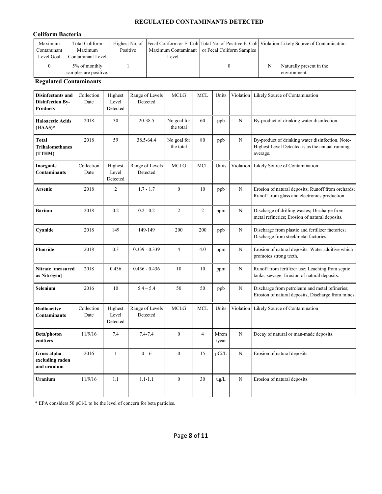#### **REGULATED CONTAMINANTS DETECTED**

#### **Coliform Bacteria**

| Maximum<br>Contaminant  <br>Level Goal | Total Coliform<br>Maximum<br>Contaminant Level | Positive | Level | Maximum Contaminant or Fecal Coliform Samples | Highest No. of Fecal Coliform or E. Coli Total No. of Positive E. Coli Violation Likely Source of Contamination |
|----------------------------------------|------------------------------------------------|----------|-------|-----------------------------------------------|-----------------------------------------------------------------------------------------------------------------|
|                                        | 5% of monthly<br>samples are positive.         |          |       |                                               | Naturally present in the<br>environment.                                                                        |

#### **Regulated Contaminants**

| <b>Disinfectants and</b><br><b>Disinfection By-</b><br><b>Products</b> | Collection<br>Date | Highest<br>Level<br>Detected | Range of Levels<br>Detected | <b>MCLG</b>              | <b>MCL</b>     | Units         | Violation      | Likely Source of Contamination                                                                                  |
|------------------------------------------------------------------------|--------------------|------------------------------|-----------------------------|--------------------------|----------------|---------------|----------------|-----------------------------------------------------------------------------------------------------------------|
| <b>Haloacetic Acids</b><br>$(HAA5)^*$                                  | 2018               | 30                           | 20-38.5                     | No goal for<br>the total | 60             | ppb           | N              | By-product of drinking water disinfection.                                                                      |
| <b>Total</b><br><b>Trihalomethanes</b><br>(TTHM)                       | 2018               | 59                           | 38.5-64.4                   | No goal for<br>the total | 80             | ppb           | N              | By-product of drinking water disinfection. Note-<br>Highest Level Detected is as the annual running<br>average. |
| Inorganic<br><b>Contaminants</b>                                       | Collection<br>Date | Highest<br>Level<br>Detected | Range of Levels<br>Detected | <b>MCLG</b>              | <b>MCL</b>     | Units         | Violation      | Likely Source of Contamination                                                                                  |
| Arsenic                                                                | 2018               | $\mathfrak{2}$               | $1.7 - 1.7$                 | $\theta$                 | 10             | ppb           | N              | Erosion of natural deposits; Runoff from orchards;<br>Runoff from glass and electronics production.             |
| <b>Barium</b>                                                          | 2018               | 0.2                          | $0.2 - 0.2$                 | $\overline{2}$           | $\overline{c}$ | ppm           | N              | Discharge of drilling wastes; Discharge from<br>metal refineries; Erosion of natural deposits.                  |
| Cyanide                                                                | 2018               | 149                          | 149-149                     | 200                      | 200            | ppb           | N              | Discharge from plastic and fertilizer factories;<br>Discharge from steel/metal factories.                       |
| Fluoride                                                               | 2018               | 0.3                          | $0.339 - 0.339$             | $\overline{4}$           | 4.0            | ppm           | $\overline{N}$ | Erosion of natural deposits; Water additive which<br>promotes strong teeth.                                     |
| Nitrate [measured<br>as Nitrogen]                                      | 2018               | 0.436                        | $0.436 - 0.436$             | 10                       | 10             | ppm           | $\mathbf N$    | Runoff from fertilizer use; Leaching from septic<br>tanks, sewage; Erosion of natural deposits.                 |
| Selenium                                                               | 2016               | 10                           | $5.4 - 5.4$                 | 50                       | 50             | ppb           | N              | Discharge from petroleum and metal refineries;<br>Erosion of natural deposits; Discharge from mines.            |
| Radioactive<br><b>Contaminants</b>                                     | Collection<br>Date | Highest<br>Level<br>Detected | Range of Levels<br>Detected | <b>MCLG</b>              | <b>MCL</b>     | Units         | Violation      | Likely Source of Contamination                                                                                  |
| <b>Beta/photon</b><br>emitters                                         | 11/9/16            | 7.4                          | $7.4 - 7.4$                 | $\boldsymbol{0}$         | $\overline{4}$ | Mrem<br>/year | N              | Decay of natural or man-made deposits.                                                                          |
| Gross alpha<br>excluding radon<br>and uranium                          | 2016               | $\mathbf{1}$                 | $0 - 6$                     | $\mathbf{0}$             | 15             | pCi/L         | N              | Erosion of natural deposits.                                                                                    |
| Uranium                                                                | 11/9/16            | 1.1                          | $1.1 - 1.1$                 | $\mathbf{0}$             | 30             | ug/L          | N              | Erosion of natural deposits.                                                                                    |

\* EPA considers 50 pCi/L to be the level of concern for beta particles.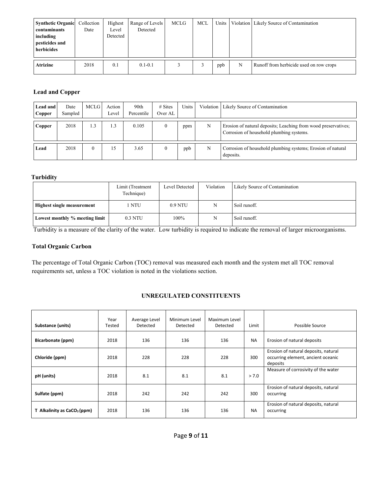| <b>Synthetic Organic</b><br>contaminants<br>including<br>pesticides and<br>herbicides | Collection<br>Date | Highest<br>Level<br>Detected | Range of Levels<br>Detected | MCLG | <b>MCL</b> | Units |   | Violation   Likely Source of Contamination |
|---------------------------------------------------------------------------------------|--------------------|------------------------------|-----------------------------|------|------------|-------|---|--------------------------------------------|
| <b>Atrizine</b>                                                                       | 2018               | 0.1                          | $0.1 - 0.1$                 |      |            | ppb   | N | Runoff from herbicide used on row crops    |

#### **Lead and Copper**

| Lead and<br>Copper | Date<br>Sampled | MCLG      | Action<br>Level | 90th<br>Percentile | $# \n  Stes$<br>Over AL | Units |   | Violation   Likely Source of Contamination                                                                 |
|--------------------|-----------------|-----------|-----------------|--------------------|-------------------------|-------|---|------------------------------------------------------------------------------------------------------------|
| Copper             | 2018            | $\cdot$ 3 | ı .3            | 0.105              | $\Omega$                | ppm   | N | Erosion of natural deposits; Leaching from wood preservatives;<br>Corrosion of household plumbing systems. |
| Lead               | 2018            |           | 15              | 3.65               | $\theta$                | ppb   | N | Corrosion of household plumbing systems; Erosion of natural<br>deposits.                                   |

#### **Turbidity**

|                                   | Limit (Treatment<br>Technique) | Level Detected | Violation | Likely Source of Contamination |
|-----------------------------------|--------------------------------|----------------|-----------|--------------------------------|
| <b>Highest single measurement</b> | NTU                            | $0.9$ NTU      | N         | Soil runoff.                   |
| Lowest monthly % meeting limit    | 0.3 NTU                        | 100%           | N         | Soil runoff.                   |

Turbidity is a measure of the clarity of the water. Low turbidity is required to indicate the removal of larger microorganisms.

#### **Total Organic Carbon**

 The percentage of Total Organic Carbon (TOC) removal was measured each month and the system met all TOC removal requirements set, unless a TOC violation is noted in the violations section.

#### **UNREGULATED CONSTITUENTS**

| Substance (units)                       | Year<br>Tested | Average Level<br>Detected | Minimum Level<br>Detected | Maximum Level<br>Detected | Limit     | Possible Source                                                                        |
|-----------------------------------------|----------------|---------------------------|---------------------------|---------------------------|-----------|----------------------------------------------------------------------------------------|
| Bicarbonate (ppm)                       | 2018           | 136                       | 136                       | 136                       | <b>NA</b> | Erosion of natural deposits                                                            |
| Chloride (ppm)                          | 2018           | 228                       | 228                       | 228                       | 300       | Erosion of natural deposits, natural<br>occurring element, ancient oceanic<br>deposits |
| pH (units)                              | 2018           | 8.1                       | 8.1                       | 8.1                       | > 7.0     | Measure of corrosivity of the water                                                    |
| Sulfate (ppm)                           | 2018           | 242                       | 242                       | 242                       | 300       | Erosion of natural deposits, natural<br>occurring                                      |
| T Alkalinity as CaCO <sub>3</sub> (ppm) | 2018           | 136                       | 136                       | 136                       | <b>NA</b> | Erosion of natural deposits, natural<br>occurring                                      |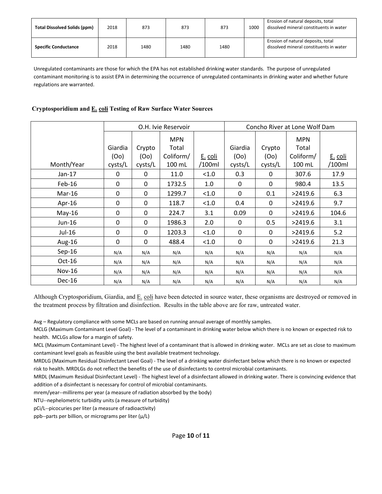| <b>Total Dissolved Solids (ppm)</b> | 2018 | 873  | 873  | 873  | 1000 | Erosion of natural deposits, total<br>dissolved mineral constituents in water |
|-------------------------------------|------|------|------|------|------|-------------------------------------------------------------------------------|
| <b>Specific Conductance</b>         | 2018 | 1480 | 1480 | 1480 |      | Erosion of natural deposits, total<br>dissolved mineral constituents in water |

Unregulated contaminants are those for which the EPA has not established drinking water standards. The purpose of unregulated contaminant monitoring is to assist EPA in determining the occurrence of unregulated contaminants in drinking water and whether future regulations are warranted.

#### **Cryptosporidium and E. coli Testing of Raw Surface Water Sources**

|            |              |                  | O.H. Ivie Reservoir |         | Concho River at Lone Wolf Dam |              |            |         |  |
|------------|--------------|------------------|---------------------|---------|-------------------------------|--------------|------------|---------|--|
|            |              |                  | <b>MPN</b>          |         |                               |              | <b>MPN</b> |         |  |
|            | Giardia      | Crypto           | Total               |         | Giardia                       | Crypto       | Total      |         |  |
|            | (OO)         | (00)             | Coliform/           | E. coli | (00)                          | (00)         | Coliform/  | E. coli |  |
| Month/Year | cysts/L      | cysts/L          | 100 mL              | /100ml  | cysts/L                       | cysts/L      | 100 mL     | /100ml  |  |
| $Jan-17$   | 0            | $\boldsymbol{0}$ | 11.0                | < 1.0   | 0.3                           | $\mathbf{0}$ | 307.6      | 17.9    |  |
| $Feb-16$   | $\mathbf{0}$ | 0                | 1732.5              | 1.0     | $\mathbf{0}$                  | $\mathbf{0}$ | 980.4      | 13.5    |  |
| Mar-16     | 0            | $\Omega$         | 1299.7              | < 1.0   | $\Omega$                      | 0.1          | >2419.6    | 6.3     |  |
| Apr-16     | $\mathbf 0$  | 0                | 118.7               | < 1.0   | 0.4                           | 0            | >2419.6    | 9.7     |  |
| $May-16$   | 0            | 0                | 224.7               | 3.1     | 0.09                          | $\mathbf{0}$ | >2419.6    | 104.6   |  |
| Jun-16     | 0            | $\mathbf 0$      | 1986.3              | 2.0     | 0                             | 0.5          | >2419.6    | 3.1     |  |
| Jul-16     | $\mathbf{0}$ | $\Omega$         | 1203.3              | < 1.0   | $\mathbf{0}$                  | $\Omega$     | >2419.6    | 5.2     |  |
| Aug-16     | 0            | 0                | 488.4               | < 1.0   | 0                             | 0            | >2419.6    | 21.3    |  |
| $Sep-16$   | N/A          | N/A              | N/A                 | N/A     | N/A                           | N/A          | N/A        | N/A     |  |
| $Oct-16$   | N/A          | N/A              | N/A                 | N/A     | N/A                           | N/A          | N/A        | N/A     |  |
| Nov-16     | N/A          | N/A              | N/A                 | N/A     | N/A                           | N/A          | N/A        | N/A     |  |
| $Dec-16$   | N/A          | N/A              | N/A                 | N/A     | N/A                           | N/A          | N/A        | N/A     |  |

Although Cryptosporidium, Giardia, and  $E$  coli have been detected in source water, these organisms are destroyed or removed in the treatment process by filtration and disinfection. Results in the table above are for raw, untreated water.

Avg – Regulatory compliance with some MCLs are based on running annual average of monthly samples.

MCLG (Maximum Contaminant Level Goal) - The level of a contaminant in drinking water below which there is no known or expected risk to health. MCLGs allow for a margin of safety.

MCL (Maximum Contaminant Level) - The highest level of a contaminant that is allowed in drinking water. MCLs are set as close to maximum contaminant level goals as feasible using the best available treatment technology.

MRDLG (Maximum Residual Disinfectant Level Goal) - The level of a drinking water disinfectant below which there is no known or expected risk to health. MRDLGs do not reflect the benefits of the use of disinfectants to control microbial contaminants.

MRDL (Maximum Residual Disinfectant Level) - The highest level of a disinfectant allowed in drinking water. There is convincing evidence that addition of a disinfectant is necessary for control of microbial contaminants.

mrem/year--millirems per year (a measure of radiation absorbed by the body)

NTU--nephelometric turbidity units (a measure of turbidity)

pCi/L--picocuries per liter (a measure of radioactivity)

ppb--parts per billion, or micrograms per liter (µ/L)